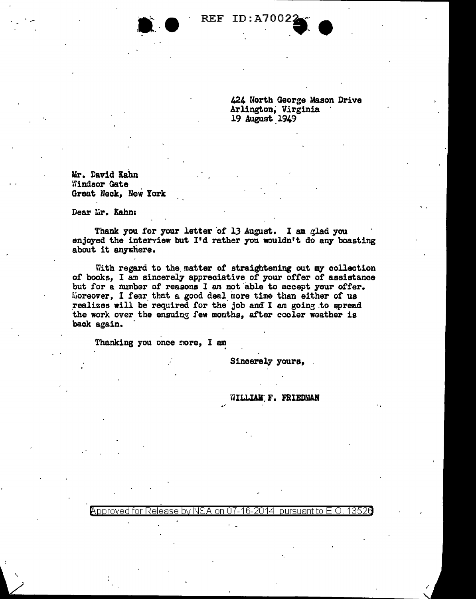

424 North Georae Mason Drive Arlington, Virginia 19 August 1949

lir. David Kahn Windsor Gate Great Neck, New York

Dear Lir. Kahn:

' /

Thank you for your letter of 13 August. I am glad you enjoyed the interview but I'd rather you wouldn't do any boasting about it anywhere.

With regard to the matter of straightening out my collection of books, I am sincerely appreciative of your offer of assistance but for a number of reasons I am not able to accept your offer. fuoreover, I fear that a good deal inore time than either of us realizes will be required for the job and I am going to spread the work over the ensuing few months, after cooler weather is back again.

Thanking you once more, I am

Sincerely yours,

## WILL**IAM F. FRIEDMAN**

·.

Approved for Release by NSA on 07-16-2014 pursuant to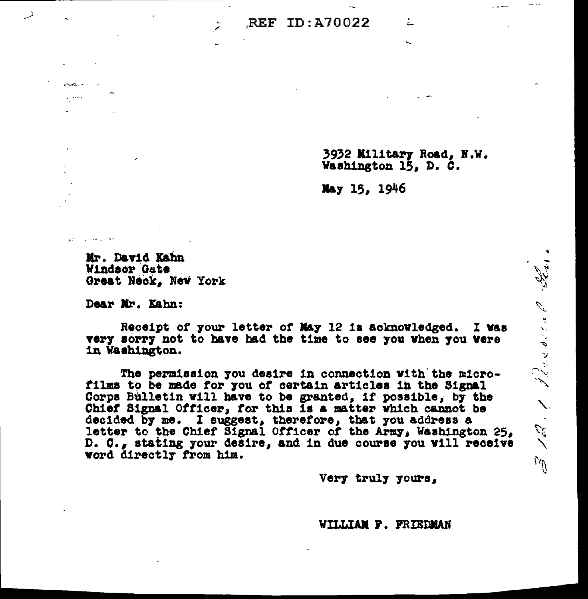## REF ID: A70022

3932 Military Road, N.W. Washington 15, D. C.

Jeres ment de la Constant

 $\frac{1}{2}$  .  $\frac{1}{2}$ 

Ñ.

rg.

Â.

May 15, 1946

Mr. David Kahn Windsor Gate Great Neck, New York

Dear Mr. Kahn:

 $\mathbf{a}$  is a set of  $\mathbf{a}$  $\epsilon$  and

الحجاري فقاربت الراوي

Receipt of your letter of May 12 is acknowledged. I was very sorry not to have had the time to see you when you were in Washington.

The permission you desire in connection with the microfilms to be made for you of certain articles in the Signal Corps Bulletin will have to be granted, if possible, by the Chief Signal Officer, for this is a matter which cannot be decided by me. I suggest, therefore, that you address a letter to the Chief Signal Officer of the Army, Washington 25, D. C., stating your desire, and in due course you will receive word directly from him.

Very truly yours,

WILLIAM F. FRIEDMAN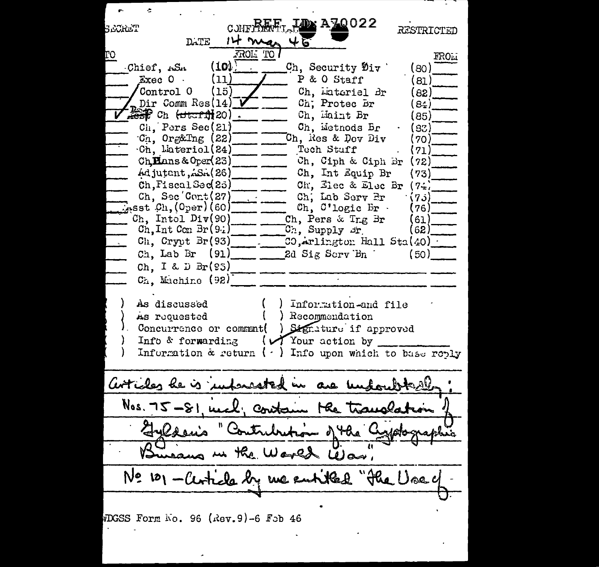**LDx A70022** C.JHFPAME SECREI RESTRICTED It mos **DATE** ↓ TROL TO FROLI  $(10)$ Ch, Security Div Chief, ASA (ദറ)  $Exec 0$ . (11) P & O Staff ็81 ไ Ch. Lateriel Br Control 0 (15) 82) Dir Comm  $Res(14)$ Ch: Protec Br 84)  $\frac{1}{2000}$  Ch  $\frac{1}{2000}$  Ch  $\frac{1}{2000}$  Ch  $\frac{1}{2000}$  Ch  $\frac{1}{2000}$  Ch  $\frac{1}{2000}$ Ch. Maint Br 85)  $\overline{C}$ <sub>1</sub> Pars Sec(21) Ch. Metnods Br 83)  $Cr.$  Org&Tng  $(22)$ Ch. Res & Dev Div 70) Tech Stuff Ch. Lateriol(24) ( 71) Ch Hans & Oper(23) Ch. Ciph & Ciph Br  $(72)$ Adjutant. S. (26) Ch. Int Equip Br (73) Ch. Elec & Elec Br Ch.FiscalSed25)  $7.2$ Ch. Sec Cont(27) Ch. Lab Serv Pr (7ء)  $T_{\rm{asst}}$   $C_{\rm{h}}$ ,  $(O_{\rm{per}})$  (60) Ch. C'logic Br. (76) Ch. Intol Div(90) Ch. Pers & Trg Br (61  $\texttt{Ch}, \texttt{Int} \texttt{Con} \texttt{Br}(9.1)$ Ch, Supply or  $621$  $Ch, Cryot Br(93)$  $\overline{3}$ . Arlingtor Hall Sta $(40)$  $Ch.$  Lab Br  $(91)$ 2d Sig Serv Bn  $(50)$ Ch. I & D  $Br(S5)$ Ch. Machine (92) As discussed Information-and file Recommendation As requested Signiture if approved Concurrence or comment( (VYour action by Info & forwarding Information  $\alpha$  return  $(\cdot)$  Info upon which to base reply articles he is interested in are und Nos. 75-81 med, contain the Transla o the the Wared Was, "He Use  $N$ 2  $121$ cla by we entitled WDGSS Form No. 96 (Rev.9)-6 Feb 46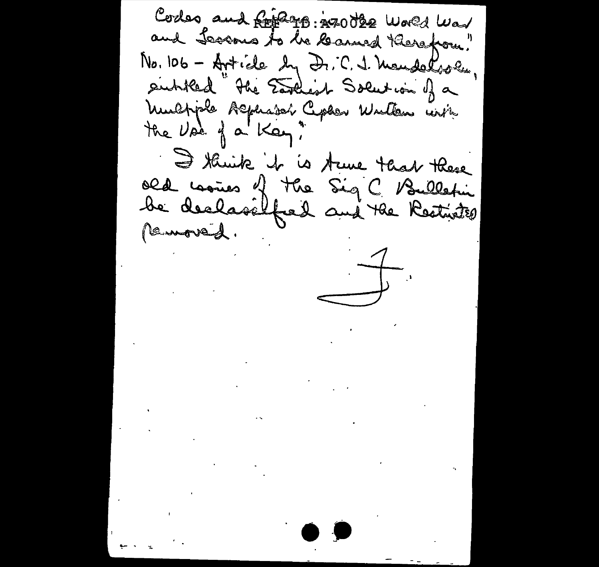Codes and find the 100 dee World War and Lectors to be learned thereform." No. 106 - Article by Dr. C. 1. Membersen. entitled " the Earliest Solution of a Muchple Alphader Cepher Wullen unin the Use of a Kay" I think it is true that there old comes of the Sig C Bulletin removed.  $\overrightarrow{a}$  $\mathcal{L}(\mathbf{r})$  and  $\mathcal{L}(\mathbf{r})$  . We can also  $\label{eq:2} \mathcal{L} = \mathcal{L} \left( \mathcal{L} \right) \mathcal{L} \left( \mathcal{L} \right) \mathcal{L} \left( \mathcal{L} \right)$  $\frac{1}{2} \sum_{i=1}^{n} \frac{1}{2} \sum_{j=1}^{n} \frac{1}{2} \sum_{j=1}^{n} \frac{1}{2} \sum_{j=1}^{n} \frac{1}{2} \sum_{j=1}^{n} \frac{1}{2} \sum_{j=1}^{n} \frac{1}{2} \sum_{j=1}^{n} \frac{1}{2} \sum_{j=1}^{n} \frac{1}{2} \sum_{j=1}^{n} \frac{1}{2} \sum_{j=1}^{n} \frac{1}{2} \sum_{j=1}^{n} \frac{1}{2} \sum_{j=1}^{n} \frac{1}{2} \sum_{j=1}^{n$  $\mathcal{L}^{\text{max}}_{\text{max}}$  and  $\mathcal{L}^{\text{max}}_{\text{max}}$